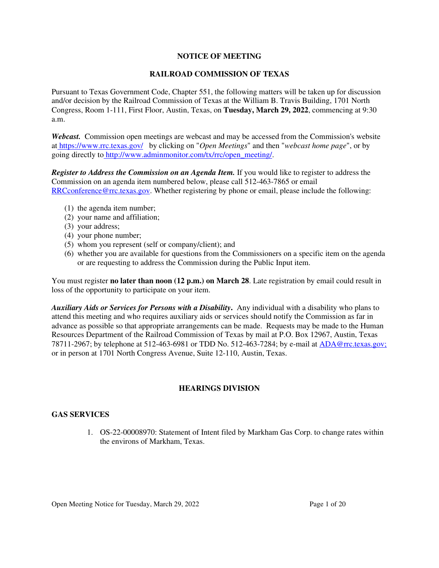# **NOTICE OF MEETING**

# **RAILROAD COMMISSION OF TEXAS**

Pursuant to Texas Government Code, Chapter 551, the following matters will be taken up for discussion and/or decision by the Railroad Commission of Texas at the William B. Travis Building, 1701 North Congress, Room 1-111, First Floor, Austin, Texas, on **Tuesday, March 29, 2022**, commencing at 9:30 a.m.

*Webcast.* Commission open meetings are webcast and may be accessed from the Commission's website at https://www.rrc.texas.gov/ by clicking on "*Open Meetings*" and then "*webcast home page*", or by going directly to http://www.adminmonitor.com/tx/rrc/open\_meeting/.

*Register to Address the Commission on an Agenda Item.* If you would like to register to address the Commission on an agenda item numbered below, please call 512-463-7865 or email RRCconference@rrc.texas.gov. Whether registering by phone or email, please include the following:

- (1) the agenda item number;
- (2) your name and affiliation;
- (3) your address;
- (4) your phone number;
- (5) whom you represent (self or company/client); and
- (6) whether you are available for questions from the Commissioners on a specific item on the agenda or are requesting to address the Commission during the Public Input item.

You must register **no later than noon (12 p.m.) on March 28**. Late registration by email could result in loss of the opportunity to participate on your item.

*Auxiliary Aids or Services for Persons with a Disability***.** Any individual with a disability who plans to attend this meeting and who requires auxiliary aids or services should notify the Commission as far in advance as possible so that appropriate arrangements can be made. Requests may be made to the Human Resources Department of the Railroad Commission of Texas by mail at P.O. Box 12967, Austin, Texas 78711-2967; by telephone at 512-463-6981 or TDD No. 512-463-7284; by e-mail at ADA@rrc.texas.gov; or in person at 1701 North Congress Avenue, Suite 12-110, Austin, Texas.

# **HEARINGS DIVISION**

### **GAS SERVICES**

1. OS-22-00008970: Statement of Intent filed by Markham Gas Corp. to change rates within the environs of Markham, Texas.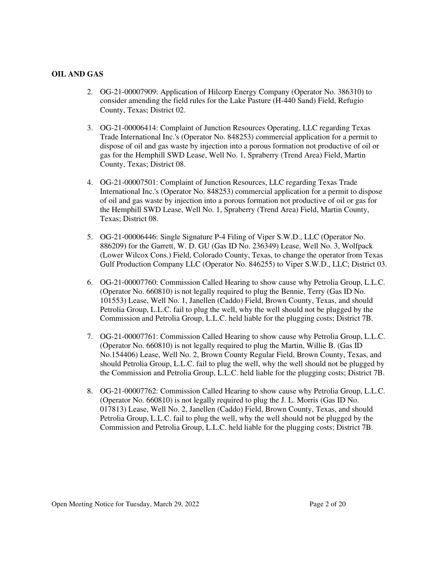# **OIL AND GAS**

- 2. OG-21-00007909: Application of Hilcorp Energy Company (Operator No. 386310) to consider amending the field rules for the Lake Pasture (H-440 Sand) Field, Refugio County, Texas; District 02.
- 3. OG-21-00006414: Complaint of Junction Resources Operating, LLC regarding Texas Trade International Inc.'s (Operator No. 848253) commercial application for a permit to dispose of oil and gas waste by injection into a porous formation not productive of oil or gas for the Hemphill SWD Lease, Well No. 1, Spraberry (Trend Area) Field, Martin County, Texas; District 08.
- 4. OG-21-00007501: Complaint of Junction Resources, LLC regarding Texas Trade International Inc.'s (Operator No. 848253) commercial application for a permit to dispose of oil and gas waste by injection into a porous formation not productive of oil or gas for the Hemphill SWD Lease, Well No. 1, Spraberry (Trend Area) Field, Martin County, Texas; District 08.
- 5. OG-21-00006446: Single Signature P-4 Filing of Viper S.W.D., LLC (Operator No. 886209) for the Garrett, W. D. GU (Gas ID No. 236349) Lease, Well No. 3, Wolfpack (Lower Wilcox Cons.) Field, Colorado County, Texas, to change the operator from Texas Gulf Production Company LLC (Operator No. 846255) to Viper S.W.D., LLC; District 03.
- 6. OG-21-00007760: Commission Called Hearing to show cause why Petrolia Group, L.L.C. (Operator No. 660810) is not legally required to plug the Bennie, Terry (Gas ID No. 101553) Lease, Well No. 1, Janellen (Caddo) Field, Brown County, Texas, and should Petrolia Group, L.L.C. fail to plug the well, why the well should not be plugged by the Commission and Petrolia Group, L.L.C. held liable for the plugging costs; District 7B.
- 7. OG-21-00007761: Commission Called Hearing to show cause why Petrolia Group, L.L.C. (Operator No. 660810) is not legally required to plug the Martin, Willie B. (Gas ID No.154406) Lease, Well No. 2, Brown County Regular Field, Brown County, Texas, and should Petrolia Group, L.L.C. fail to plug the well, why the well should not be plugged by the Commission and Petrolia Group, L.L.C. held liable for the plugging costs; District 7B.
- 8. OG-21-00007762: Commission Called Hearing to show cause why Petrolia Group, L.L.C. (Operator No. 660810) is not legally required to plug the J. L. Morris (Gas ID No. 017813) Lease, Well No. 2, Janellen (Caddo) Field, Brown County, Texas, and should Petrolia Group, L.L.C. fail to plug the well, why the well should not be plugged by the Commission and Petrolia Group, L.L.C. held liable for the plugging costs; District 7B.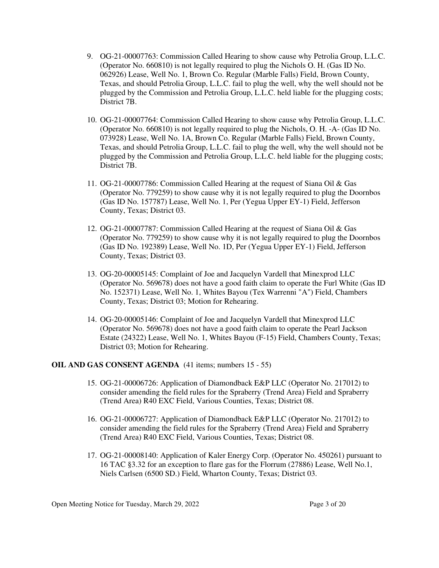- 9. OG-21-00007763: Commission Called Hearing to show cause why Petrolia Group, L.L.C. (Operator No. 660810) is not legally required to plug the Nichols O. H. (Gas ID No. 062926) Lease, Well No. 1, Brown Co. Regular (Marble Falls) Field, Brown County, Texas, and should Petrolia Group, L.L.C. fail to plug the well, why the well should not be plugged by the Commission and Petrolia Group, L.L.C. held liable for the plugging costs; District 7B.
- 10. OG-21-00007764: Commission Called Hearing to show cause why Petrolia Group, L.L.C. (Operator No. 660810) is not legally required to plug the Nichols, O. H. -A- (Gas ID No. 073928) Lease, Well No. 1A, Brown Co. Regular (Marble Falls) Field, Brown County, Texas, and should Petrolia Group, L.L.C. fail to plug the well, why the well should not be plugged by the Commission and Petrolia Group, L.L.C. held liable for the plugging costs; District 7B.
- 11. OG-21-00007786: Commission Called Hearing at the request of Siana Oil & Gas (Operator No. 779259) to show cause why it is not legally required to plug the Doornbos (Gas ID No. 157787) Lease, Well No. 1, Per (Yegua Upper EY-1) Field, Jefferson County, Texas; District 03.
- 12. OG-21-00007787: Commission Called Hearing at the request of Siana Oil & Gas (Operator No. 779259) to show cause why it is not legally required to plug the Doornbos (Gas ID No. 192389) Lease, Well No. 1D, Per (Yegua Upper EY-1) Field, Jefferson County, Texas; District 03.
- 13. OG-20-00005145: Complaint of Joe and Jacquelyn Vardell that Minexprod LLC (Operator No. 569678) does not have a good faith claim to operate the Furl White (Gas ID No. 152371) Lease, Well No. 1, Whites Bayou (Tex Warrenni "A") Field, Chambers County, Texas; District 03; Motion for Rehearing.
- 14. OG-20-00005146: Complaint of Joe and Jacquelyn Vardell that Minexprod LLC (Operator No. 569678) does not have a good faith claim to operate the Pearl Jackson Estate (24322) Lease, Well No. 1, Whites Bayou (F-15) Field, Chambers County, Texas; District 03; Motion for Rehearing.

# **OIL AND GAS CONSENT AGENDA** (41 items; numbers 15 - 55)

- 15. OG-21-00006726: Application of Diamondback E&P LLC (Operator No. 217012) to consider amending the field rules for the Spraberry (Trend Area) Field and Spraberry (Trend Area) R40 EXC Field, Various Counties, Texas; District 08.
- 16. OG-21-00006727: Application of Diamondback E&P LLC (Operator No. 217012) to consider amending the field rules for the Spraberry (Trend Area) Field and Spraberry (Trend Area) R40 EXC Field, Various Counties, Texas; District 08.
- 17. OG-21-00008140: Application of Kaler Energy Corp. (Operator No. 450261) pursuant to 16 TAC §3.32 for an exception to flare gas for the Florrum (27886) Lease, Well No.1, Niels Carlsen (6500 SD.) Field, Wharton County, Texas; District 03.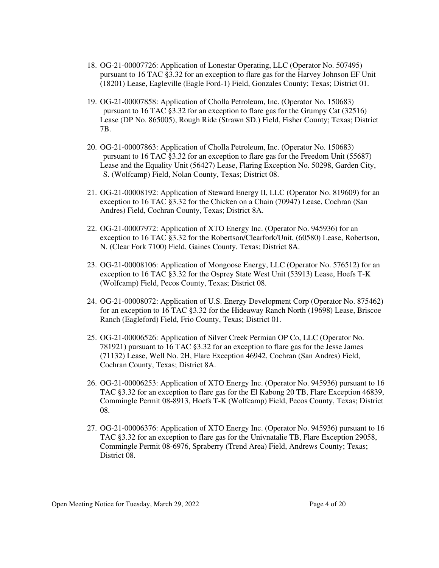- 18. OG-21-00007726: Application of Lonestar Operating, LLC (Operator No. 507495) pursuant to 16 TAC §3.32 for an exception to flare gas for the Harvey Johnson EF Unit (18201) Lease, Eagleville (Eagle Ford-1) Field, Gonzales County; Texas; District 01.
- 19. OG-21-00007858: Application of Cholla Petroleum, Inc. (Operator No. 150683) pursuant to 16 TAC §3.32 for an exception to flare gas for the Grumpy Cat (32516) Lease (DP No. 865005), Rough Ride (Strawn SD.) Field, Fisher County; Texas; District 7B.
- 20. OG-21-00007863: Application of Cholla Petroleum, Inc. (Operator No. 150683) pursuant to 16 TAC §3.32 for an exception to flare gas for the Freedom Unit (55687) Lease and the Equality Unit (56427) Lease, Flaring Exception No. 50298, Garden City, S. (Wolfcamp) Field, Nolan County, Texas; District 08.
- 21. OG-21-00008192: Application of Steward Energy II, LLC (Operator No. 819609) for an exception to 16 TAC §3.32 for the Chicken on a Chain (70947) Lease, Cochran (San Andres) Field, Cochran County, Texas; District 8A.
- 22. OG-21-00007972: Application of XTO Energy Inc. (Operator No. 945936) for an exception to 16 TAC §3.32 for the Robertson/Clearfork/Unit, (60580) Lease, Robertson, N. (Clear Fork 7100) Field, Gaines County, Texas; District 8A.
- 23. OG-21-00008106: Application of Mongoose Energy, LLC (Operator No. 576512) for an exception to 16 TAC §3.32 for the Osprey State West Unit (53913) Lease, Hoefs T-K (Wolfcamp) Field, Pecos County, Texas; District 08.
- 24. OG-21-00008072: Application of U.S. Energy Development Corp (Operator No. 875462) for an exception to 16 TAC §3.32 for the Hideaway Ranch North (19698) Lease, Briscoe Ranch (Eagleford) Field, Frio County, Texas; District 01.
- 25. OG-21-00006526: Application of Silver Creek Permian OP Co, LLC (Operator No. 781921) pursuant to 16 TAC §3.32 for an exception to flare gas for the Jesse James (71132) Lease, Well No. 2H, Flare Exception 46942, Cochran (San Andres) Field, Cochran County, Texas; District 8A.
- 26. OG-21-00006253: Application of XTO Energy Inc. (Operator No. 945936) pursuant to 16 TAC §3.32 for an exception to flare gas for the El Kabong 20 TB, Flare Exception 46839, Commingle Permit 08-8913, Hoefs T-K (Wolfcamp) Field, Pecos County, Texas; District 08.
- 27. OG-21-00006376: Application of XTO Energy Inc. (Operator No. 945936) pursuant to 16 TAC §3.32 for an exception to flare gas for the Univnatalie TB, Flare Exception 29058, Commingle Permit 08-6976, Spraberry (Trend Area) Field, Andrews County; Texas; District 08.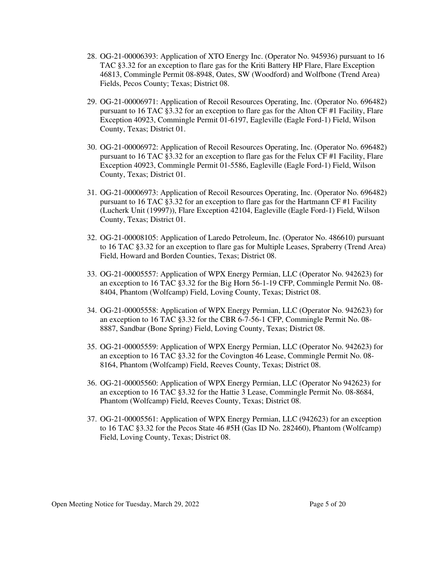- 28. OG-21-00006393: Application of XTO Energy Inc. (Operator No. 945936) pursuant to 16 TAC §3.32 for an exception to flare gas for the Kriti Battery HP Flare, Flare Exception 46813, Commingle Permit 08-8948, Oates, SW (Woodford) and Wolfbone (Trend Area) Fields, Pecos County; Texas; District 08.
- 29. OG-21-00006971: Application of Recoil Resources Operating, Inc. (Operator No. 696482) pursuant to 16 TAC §3.32 for an exception to flare gas for the Alton CF #1 Facility, Flare Exception 40923, Commingle Permit 01-6197, Eagleville (Eagle Ford-1) Field, Wilson County, Texas; District 01.
- 30. OG-21-00006972: Application of Recoil Resources Operating, Inc. (Operator No. 696482) pursuant to 16 TAC §3.32 for an exception to flare gas for the Felux CF #1 Facility, Flare Exception 40923, Commingle Permit 01-5586, Eagleville (Eagle Ford-1) Field, Wilson County, Texas; District 01.
- 31. OG-21-00006973: Application of Recoil Resources Operating, Inc. (Operator No. 696482) pursuant to 16 TAC §3.32 for an exception to flare gas for the Hartmann CF #1 Facility (Lucherk Unit (19997)), Flare Exception 42104, Eagleville (Eagle Ford-1) Field, Wilson County, Texas; District 01.
- 32. OG-21-00008105: Application of Laredo Petroleum, Inc. (Operator No. 486610) pursuant to 16 TAC §3.32 for an exception to flare gas for Multiple Leases, Spraberry (Trend Area) Field, Howard and Borden Counties, Texas; District 08.
- 33. OG-21-00005557: Application of WPX Energy Permian, LLC (Operator No. 942623) for an exception to 16 TAC §3.32 for the Big Horn 56-1-19 CFP, Commingle Permit No. 08- 8404, Phantom (Wolfcamp) Field, Loving County, Texas; District 08.
- 34. OG-21-00005558: Application of WPX Energy Permian, LLC (Operator No. 942623) for an exception to 16 TAC §3.32 for the CBR 6-7-56-1 CFP, Commingle Permit No. 08- 8887, Sandbar (Bone Spring) Field, Loving County, Texas; District 08.
- 35. OG-21-00005559: Application of WPX Energy Permian, LLC (Operator No. 942623) for an exception to 16 TAC §3.32 for the Covington 46 Lease, Commingle Permit No. 08- 8164, Phantom (Wolfcamp) Field, Reeves County, Texas; District 08.
- 36. OG-21-00005560: Application of WPX Energy Permian, LLC (Operator No 942623) for an exception to 16 TAC §3.32 for the Hattie 3 Lease, Commingle Permit No. 08-8684, Phantom (Wolfcamp) Field, Reeves County, Texas; District 08.
- 37. OG-21-00005561: Application of WPX Energy Permian, LLC (942623) for an exception to 16 TAC §3.32 for the Pecos State 46 #5H (Gas ID No. 282460), Phantom (Wolfcamp) Field, Loving County, Texas; District 08.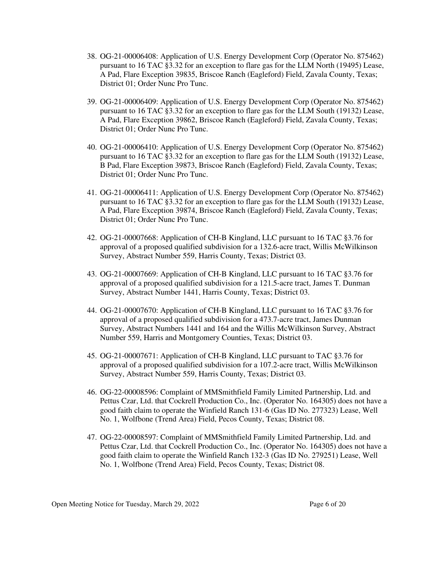- 38. OG-21-00006408: Application of U.S. Energy Development Corp (Operator No. 875462) pursuant to 16 TAC §3.32 for an exception to flare gas for the LLM North (19495) Lease, A Pad, Flare Exception 39835, Briscoe Ranch (Eagleford) Field, Zavala County, Texas; District 01; Order Nunc Pro Tunc.
- 39. OG-21-00006409: Application of U.S. Energy Development Corp (Operator No. 875462) pursuant to 16 TAC §3.32 for an exception to flare gas for the LLM South (19132) Lease, A Pad, Flare Exception 39862, Briscoe Ranch (Eagleford) Field, Zavala County, Texas; District 01; Order Nunc Pro Tunc.
- 40. OG-21-00006410: Application of U.S. Energy Development Corp (Operator No. 875462) pursuant to 16 TAC §3.32 for an exception to flare gas for the LLM South (19132) Lease, B Pad, Flare Exception 39873, Briscoe Ranch (Eagleford) Field, Zavala County, Texas; District 01; Order Nunc Pro Tunc.
- 41. OG-21-00006411: Application of U.S. Energy Development Corp (Operator No. 875462) pursuant to 16 TAC §3.32 for an exception to flare gas for the LLM South (19132) Lease, A Pad, Flare Exception 39874, Briscoe Ranch (Eagleford) Field, Zavala County, Texas; District 01; Order Nunc Pro Tunc.
- 42. OG-21-00007668: Application of CH-B Kingland, LLC pursuant to 16 TAC §3.76 for approval of a proposed qualified subdivision for a 132.6-acre tract, Willis McWilkinson Survey, Abstract Number 559, Harris County, Texas; District 03.
- 43. OG-21-00007669: Application of CH-B Kingland, LLC pursuant to 16 TAC §3.76 for approval of a proposed qualified subdivision for a 121.5-acre tract, James T. Dunman Survey, Abstract Number 1441, Harris County, Texas; District 03.
- 44. OG-21-00007670: Application of CH-B Kingland, LLC pursuant to 16 TAC §3.76 for approval of a proposed qualified subdivision for a 473.7-acre tract, James Dunman Survey, Abstract Numbers 1441 and 164 and the Willis McWilkinson Survey, Abstract Number 559, Harris and Montgomery Counties, Texas; District 03.
- 45. OG-21-00007671: Application of CH-B Kingland, LLC pursuant to TAC §3.76 for approval of a proposed qualified subdivision for a 107.2-acre tract, Willis McWilkinson Survey, Abstract Number 559, Harris County, Texas; District 03.
- 46. OG-22-00008596: Complaint of MMSmithfield Family Limited Partnership, Ltd. and Pettus Czar, Ltd. that Cockrell Production Co., Inc. (Operator No. 164305) does not have a good faith claim to operate the Winfield Ranch 131-6 (Gas ID No. 277323) Lease, Well No. 1, Wolfbone (Trend Area) Field, Pecos County, Texas; District 08.
- 47. OG-22-00008597: Complaint of MMSmithfield Family Limited Partnership, Ltd. and Pettus Czar, Ltd. that Cockrell Production Co., Inc. (Operator No. 164305) does not have a good faith claim to operate the Winfield Ranch 132-3 (Gas ID No. 279251) Lease, Well No. 1, Wolfbone (Trend Area) Field, Pecos County, Texas; District 08.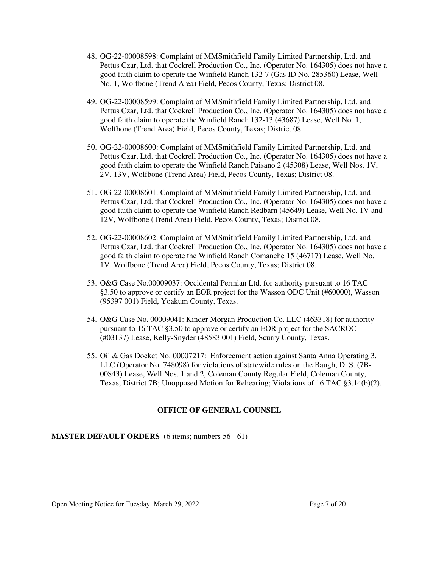- 48. OG-22-00008598: Complaint of MMSmithfield Family Limited Partnership, Ltd. and Pettus Czar, Ltd. that Cockrell Production Co., Inc. (Operator No. 164305) does not have a good faith claim to operate the Winfield Ranch 132-7 (Gas ID No. 285360) Lease, Well No. 1, Wolfbone (Trend Area) Field, Pecos County, Texas; District 08.
- 49. OG-22-00008599: Complaint of MMSmithfield Family Limited Partnership, Ltd. and Pettus Czar, Ltd. that Cockrell Production Co., Inc. (Operator No. 164305) does not have a good faith claim to operate the Winfield Ranch 132-13 (43687) Lease, Well No. 1, Wolfbone (Trend Area) Field, Pecos County, Texas; District 08.
- 50. OG-22-00008600: Complaint of MMSmithfield Family Limited Partnership, Ltd. and Pettus Czar, Ltd. that Cockrell Production Co., Inc. (Operator No. 164305) does not have a good faith claim to operate the Winfield Ranch Paisano 2 (45308) Lease, Well Nos. 1V, 2V, 13V, Wolfbone (Trend Area) Field, Pecos County, Texas; District 08.
- 51. OG-22-00008601: Complaint of MMSmithfield Family Limited Partnership, Ltd. and Pettus Czar, Ltd. that Cockrell Production Co., Inc. (Operator No. 164305) does not have a good faith claim to operate the Winfield Ranch Redbarn (45649) Lease, Well No. 1V and 12V, Wolfbone (Trend Area) Field, Pecos County, Texas; District 08.
- 52. OG-22-00008602: Complaint of MMSmithfield Family Limited Partnership, Ltd. and Pettus Czar, Ltd. that Cockrell Production Co., Inc. (Operator No. 164305) does not have a good faith claim to operate the Winfield Ranch Comanche 15 (46717) Lease, Well No. 1V, Wolfbone (Trend Area) Field, Pecos County, Texas; District 08.
- 53. O&G Case No.00009037: Occidental Permian Ltd. for authority pursuant to 16 TAC §3.50 to approve or certify an EOR project for the Wasson ODC Unit (#60000), Wasson (95397 001) Field, Yoakum County, Texas.
- 54. O&G Case No. 00009041: Kinder Morgan Production Co. LLC (463318) for authority pursuant to 16 TAC §3.50 to approve or certify an EOR project for the SACROC (#03137) Lease, Kelly-Snyder (48583 001) Field, Scurry County, Texas.
- 55. Oil & Gas Docket No. 00007217: Enforcement action against Santa Anna Operating 3, LLC (Operator No. 748098) for violations of statewide rules on the Baugh, D. S. (7B-00843) Lease, Well Nos. 1 and 2, Coleman County Regular Field, Coleman County, Texas, District 7B; Unopposed Motion for Rehearing; Violations of 16 TAC §3.14(b)(2).

### **OFFICE OF GENERAL COUNSEL**

**MASTER DEFAULT ORDERS** (6 items; numbers 56 - 61)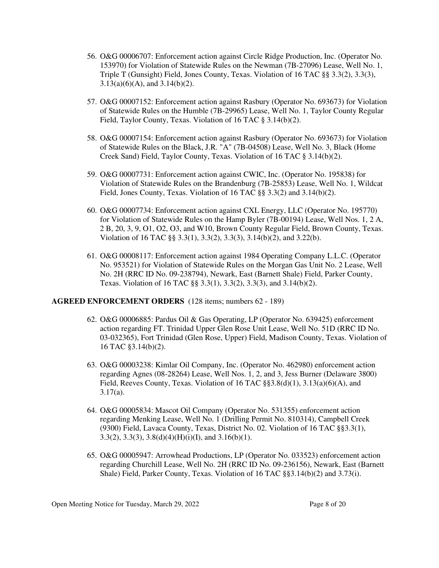- 56. O&G 00006707: Enforcement action against Circle Ridge Production, Inc. (Operator No. 153970) for Violation of Statewide Rules on the Newman (7B-27096) Lease, Well No. 1, Triple T (Gunsight) Field, Jones County, Texas. Violation of 16 TAC §§ 3.3(2), 3.3(3),  $3.13(a)(6)(A)$ , and  $3.14(b)(2)$ .
- 57. O&G 00007152: Enforcement action against Rasbury (Operator No. 693673) for Violation of Statewide Rules on the Humble (7B-29965) Lease, Well No. 1, Taylor County Regular Field, Taylor County, Texas. Violation of 16 TAC § 3.14(b)(2).
- 58. O&G 00007154: Enforcement action against Rasbury (Operator No. 693673) for Violation of Statewide Rules on the Black, J.R. "A" (7B-04508) Lease, Well No. 3, Black (Home Creek Sand) Field, Taylor County, Texas. Violation of 16 TAC § 3.14(b)(2).
- 59. O&G 00007731: Enforcement action against CWIC, Inc. (Operator No. 195838) for Violation of Statewide Rules on the Brandenburg (7B-25853) Lease, Well No. 1, Wildcat Field, Jones County, Texas. Violation of 16 TAC §§ 3.3(2) and 3.14(b)(2).
- 60. O&G 00007734: Enforcement action against CXL Energy, LLC (Operator No. 195770) for Violation of Statewide Rules on the Hamp Byler (7B-00194) Lease, Well Nos. 1, 2 A, 2 B, 20, 3, 9, O1, O2, O3, and W10, Brown County Regular Field, Brown County, Texas. Violation of 16 TAC §§ 3.3(1), 3.3(2), 3.3(3), 3.14(b)(2), and 3.22(b).
- 61. O&G 00008117: Enforcement action against 1984 Operating Company L.L.C. (Operator No. 953521) for Violation of Statewide Rules on the Morgan Gas Unit No. 2 Lease, Well No. 2H (RRC ID No. 09-238794), Newark, East (Barnett Shale) Field, Parker County, Texas. Violation of 16 TAC §§ 3.3(1), 3.3(2), 3.3(3), and 3.14(b)(2).

#### **AGREED ENFORCEMENT ORDERS** (128 items; numbers 62 - 189)

- 62. O&G 00006885: Pardus Oil & Gas Operating, LP (Operator No. 639425) enforcement action regarding FT. Trinidad Upper Glen Rose Unit Lease, Well No. 51D (RRC ID No. 03-032365), Fort Trinidad (Glen Rose, Upper) Field, Madison County, Texas. Violation of 16 TAC §3.14(b)(2).
- 63. O&G 00003238: Kimlar Oil Company, Inc. (Operator No. 462980) enforcement action regarding Agnes (08-28264) Lease, Well Nos. 1, 2, and 3, Jess Burner (Delaware 3800) Field, Reeves County, Texas. Violation of 16 TAC §§3.8(d)(1), 3.13(a)(6)(A), and 3.17(a).
- 64. O&G 00005834: Mascot Oil Company (Operator No. 531355) enforcement action regarding Menking Lease, Well No. 1 (Drilling Permit No. 810314), Campbell Creek (9300) Field, Lavaca County, Texas, District No. 02. Violation of 16 TAC §§3.3(1), 3.3(2), 3.3(3), 3.8(d)(4)(H)(i)(I), and 3.16(b)(1).
- 65. O&G 00005947: Arrowhead Productions, LP (Operator No. 033523) enforcement action regarding Churchill Lease, Well No. 2H (RRC ID No. 09-236156), Newark, East (Barnett Shale) Field, Parker County, Texas. Violation of 16 TAC §§3.14(b)(2) and 3.73(i).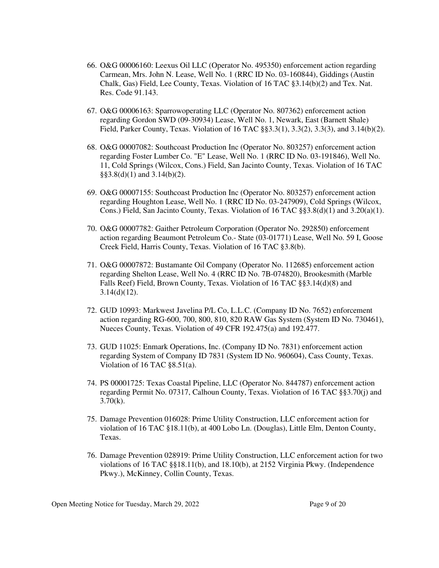- 66. O&G 00006160: Leexus Oil LLC (Operator No. 495350) enforcement action regarding Carmean, Mrs. John N. Lease, Well No. 1 (RRC ID No. 03-160844), Giddings (Austin Chalk, Gas) Field, Lee County, Texas. Violation of 16 TAC §3.14(b)(2) and Tex. Nat. Res. Code 91.143.
- 67. O&G 00006163: Sparrowoperating LLC (Operator No. 807362) enforcement action regarding Gordon SWD (09-30934) Lease, Well No. 1, Newark, East (Barnett Shale) Field, Parker County, Texas. Violation of 16 TAC §§3.3(1), 3.3(2), 3.3(3), and 3.14(b)(2).
- 68. O&G 00007082: Southcoast Production Inc (Operator No. 803257) enforcement action regarding Foster Lumber Co. "E" Lease, Well No. 1 (RRC ID No. 03-191846), Well No. 11, Cold Springs (Wilcox, Cons.) Field, San Jacinto County, Texas. Violation of 16 TAC  $\S$ §3.8(d)(1) and 3.14(b)(2).
- 69. O&G 00007155: Southcoast Production Inc (Operator No. 803257) enforcement action regarding Houghton Lease, Well No. 1 (RRC ID No. 03-247909), Cold Springs (Wilcox, Cons.) Field, San Jacinto County, Texas. Violation of 16 TAC  $\S$ §3.8(d)(1) and 3.20(a)(1).
- 70. O&G 00007782: Gaither Petroleum Corporation (Operator No. 292850) enforcement action regarding Beaumont Petroleum Co.- State (03-01771) Lease, Well No. 59 I, Goose Creek Field, Harris County, Texas. Violation of 16 TAC §3.8(b).
- 71. O&G 00007872: Bustamante Oil Company (Operator No. 112685) enforcement action regarding Shelton Lease, Well No. 4 (RRC ID No. 7B-074820), Brookesmith (Marble Falls Reef) Field, Brown County, Texas. Violation of 16 TAC §§3.14(d)(8) and  $3.14(d)(12)$ .
- 72. GUD 10993: Markwest Javelina P/L Co, L.L.C. (Company ID No. 7652) enforcement action regarding RG-600, 700, 800, 810, 820 RAW Gas System (System ID No. 730461), Nueces County, Texas. Violation of 49 CFR 192.475(a) and 192.477.
- 73. GUD 11025: Enmark Operations, Inc. (Company ID No. 7831) enforcement action regarding System of Company ID 7831 (System ID No. 960604), Cass County, Texas. Violation of 16 TAC §8.51(a).
- 74. PS 00001725: Texas Coastal Pipeline, LLC (Operator No. 844787) enforcement action regarding Permit No. 07317, Calhoun County, Texas. Violation of 16 TAC §§3.70(j) and  $3.70(k)$ .
- 75. Damage Prevention 016028: Prime Utility Construction, LLC enforcement action for violation of 16 TAC §18.11(b), at 400 Lobo Ln. (Douglas), Little Elm, Denton County, Texas.
- 76. Damage Prevention 028919: Prime Utility Construction, LLC enforcement action for two violations of 16 TAC §§18.11(b), and 18.10(b), at 2152 Virginia Pkwy. (Independence Pkwy.), McKinney, Collin County, Texas.

Open Meeting Notice for Tuesday, March 29, 2022 Page 9 of 20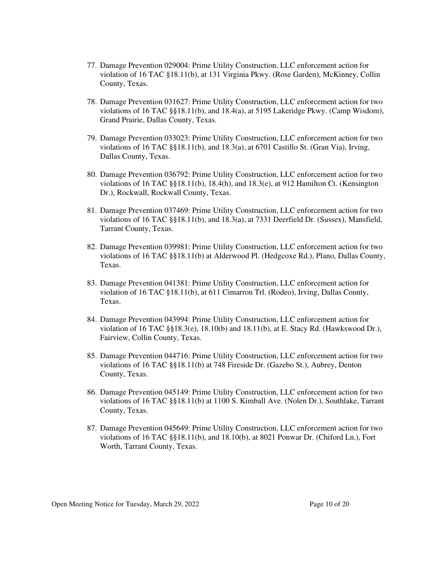- 77. Damage Prevention 029004: Prime Utility Construction, LLC enforcement action for violation of 16 TAC §18.11(b), at 131 Virginia Pkwy. (Rose Garden), McKinney, Collin County, Texas.
- 78. Damage Prevention 031627: Prime Utility Construction, LLC enforcement action for two violations of 16 TAC §§18.11(b), and 18.4(a), at 5195 Lakeridge Pkwy. (Camp Wisdom), Grand Prairie, Dallas County, Texas.
- 79. Damage Prevention 033023: Prime Utility Construction, LLC enforcement action for two violations of 16 TAC §§18.11(b), and 18.3(a), at 6701 Castillo St. (Gran Via), Irving, Dallas County, Texas.
- 80. Damage Prevention 036792: Prime Utility Construction, LLC enforcement action for two violations of 16 TAC §§18.11(b), 18.4(h), and 18.3(e), at 912 Hamilton Ct. (Kensington Dr.), Rockwall, Rockwall County, Texas.
- 81. Damage Prevention 037469: Prime Utility Construction, LLC enforcement action for two violations of 16 TAC §§18.11(b), and 18.3(a), at 7331 Deerfield Dr. (Sussex), Mansfield, Tarrant County, Texas.
- 82. Damage Prevention 039981: Prime Utility Construction, LLC enforcement action for two violations of 16 TAC §§18.11(b) at Alderwood Pl. (Hedgcoxe Rd.), Plano, Dallas County, Texas.
- 83. Damage Prevention 041381: Prime Utility Construction, LLC enforcement action for violation of 16 TAC §18.11(b), at 611 Cimarron Trl. (Rodeo), Irving, Dallas County, Texas.
- 84. Damage Prevention 043994: Prime Utility Construction, LLC enforcement action for violation of 16 TAC §§18.3(e), 18.10(b) and 18.11(b), at E. Stacy Rd. (Hawkswood Dr.), Fairview, Collin County, Texas.
- 85. Damage Prevention 044716: Prime Utility Construction, LLC enforcement action for two violations of 16 TAC §§18.11(b) at 748 Fireside Dr. (Gazebo St.), Aubrey, Denton County, Texas.
- 86. Damage Prevention 045149: Prime Utility Construction, LLC enforcement action for two violations of 16 TAC §§18.11(b) at 1100 S. Kimball Ave. (Nolen Dr.), Southlake, Tarrant County, Texas.
- 87. Damage Prevention 045649: Prime Utility Construction, LLC enforcement action for two violations of 16 TAC §§18.11(b), and 18.10(b), at 8021 Ponwar Dr. (Chiford Ln.), Fort Worth, Tarrant County, Texas.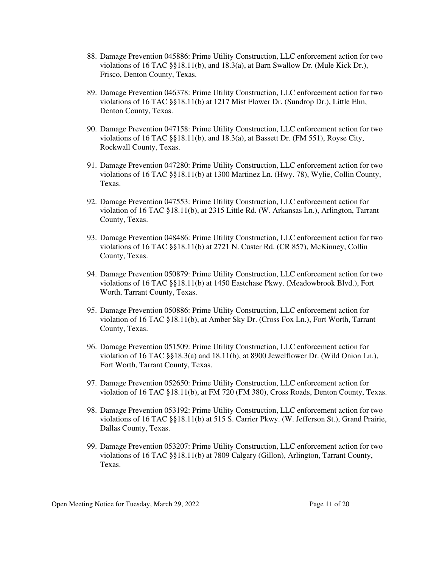- 88. Damage Prevention 045886: Prime Utility Construction, LLC enforcement action for two violations of 16 TAC §§18.11(b), and 18.3(a), at Barn Swallow Dr. (Mule Kick Dr.), Frisco, Denton County, Texas.
- 89. Damage Prevention 046378: Prime Utility Construction, LLC enforcement action for two violations of 16 TAC §§18.11(b) at 1217 Mist Flower Dr. (Sundrop Dr.), Little Elm, Denton County, Texas.
- 90. Damage Prevention 047158: Prime Utility Construction, LLC enforcement action for two violations of 16 TAC §§18.11(b), and 18.3(a), at Bassett Dr. (FM 551), Royse City, Rockwall County, Texas.
- 91. Damage Prevention 047280: Prime Utility Construction, LLC enforcement action for two violations of 16 TAC §§18.11(b) at 1300 Martinez Ln. (Hwy. 78), Wylie, Collin County, Texas.
- 92. Damage Prevention 047553: Prime Utility Construction, LLC enforcement action for violation of 16 TAC §18.11(b), at 2315 Little Rd. (W. Arkansas Ln.), Arlington, Tarrant County, Texas.
- 93. Damage Prevention 048486: Prime Utility Construction, LLC enforcement action for two violations of 16 TAC §§18.11(b) at 2721 N. Custer Rd. (CR 857), McKinney, Collin County, Texas.
- 94. Damage Prevention 050879: Prime Utility Construction, LLC enforcement action for two violations of 16 TAC §§18.11(b) at 1450 Eastchase Pkwy. (Meadowbrook Blvd.), Fort Worth, Tarrant County, Texas.
- 95. Damage Prevention 050886: Prime Utility Construction, LLC enforcement action for violation of 16 TAC §18.11(b), at Amber Sky Dr. (Cross Fox Ln.), Fort Worth, Tarrant County, Texas.
- 96. Damage Prevention 051509: Prime Utility Construction, LLC enforcement action for violation of 16 TAC §§18.3(a) and 18.11(b), at 8900 Jewelflower Dr. (Wild Onion Ln.), Fort Worth, Tarrant County, Texas.
- 97. Damage Prevention 052650: Prime Utility Construction, LLC enforcement action for violation of 16 TAC §18.11(b), at FM 720 (FM 380), Cross Roads, Denton County, Texas.
- 98. Damage Prevention 053192: Prime Utility Construction, LLC enforcement action for two violations of 16 TAC §§18.11(b) at 515 S. Carrier Pkwy. (W. Jefferson St.), Grand Prairie, Dallas County, Texas.
- 99. Damage Prevention 053207: Prime Utility Construction, LLC enforcement action for two violations of 16 TAC §§18.11(b) at 7809 Calgary (Gillon), Arlington, Tarrant County, Texas.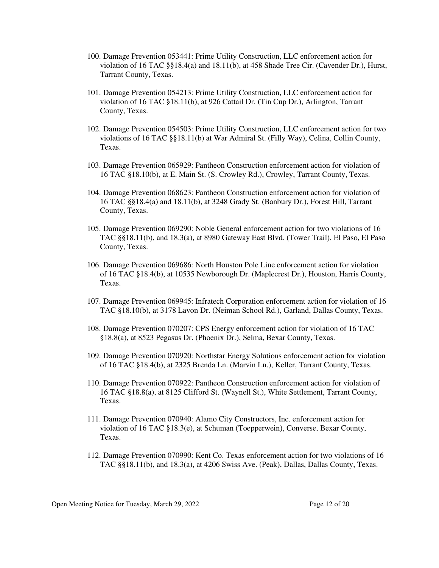- 100. Damage Prevention 053441: Prime Utility Construction, LLC enforcement action for violation of 16 TAC §§18.4(a) and 18.11(b), at 458 Shade Tree Cir. (Cavender Dr.), Hurst, Tarrant County, Texas.
- 101. Damage Prevention 054213: Prime Utility Construction, LLC enforcement action for violation of 16 TAC §18.11(b), at 926 Cattail Dr. (Tin Cup Dr.), Arlington, Tarrant County, Texas.
- 102. Damage Prevention 054503: Prime Utility Construction, LLC enforcement action for two violations of 16 TAC §§18.11(b) at War Admiral St. (Filly Way), Celina, Collin County, Texas.
- 103. Damage Prevention 065929: Pantheon Construction enforcement action for violation of 16 TAC §18.10(b), at E. Main St. (S. Crowley Rd.), Crowley, Tarrant County, Texas.
- 104. Damage Prevention 068623: Pantheon Construction enforcement action for violation of 16 TAC §§18.4(a) and 18.11(b), at 3248 Grady St. (Banbury Dr.), Forest Hill, Tarrant County, Texas.
- 105. Damage Prevention 069290: Noble General enforcement action for two violations of 16 TAC §§18.11(b), and 18.3(a), at 8980 Gateway East Blvd. (Tower Trail), El Paso, El Paso County, Texas.
- 106. Damage Prevention 069686: North Houston Pole Line enforcement action for violation of 16 TAC §18.4(b), at 10535 Newborough Dr. (Maplecrest Dr.), Houston, Harris County, Texas.
- 107. Damage Prevention 069945: Infratech Corporation enforcement action for violation of 16 TAC §18.10(b), at 3178 Lavon Dr. (Neiman School Rd.), Garland, Dallas County, Texas.
- 108. Damage Prevention 070207: CPS Energy enforcement action for violation of 16 TAC §18.8(a), at 8523 Pegasus Dr. (Phoenix Dr.), Selma, Bexar County, Texas.
- 109. Damage Prevention 070920: Northstar Energy Solutions enforcement action for violation of 16 TAC §18.4(b), at 2325 Brenda Ln. (Marvin Ln.), Keller, Tarrant County, Texas.
- 110. Damage Prevention 070922: Pantheon Construction enforcement action for violation of 16 TAC §18.8(a), at 8125 Clifford St. (Waynell St.), White Settlement, Tarrant County, Texas.
- 111. Damage Prevention 070940: Alamo City Constructors, Inc. enforcement action for violation of 16 TAC §18.3(e), at Schuman (Toepperwein), Converse, Bexar County, Texas.
- 112. Damage Prevention 070990: Kent Co. Texas enforcement action for two violations of 16 TAC §§18.11(b), and 18.3(a), at 4206 Swiss Ave. (Peak), Dallas, Dallas County, Texas.

Open Meeting Notice for Tuesday, March 29, 2022 Page 12 of 20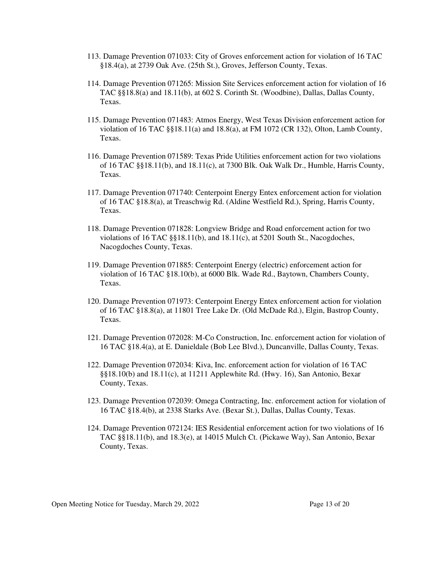- 113. Damage Prevention 071033: City of Groves enforcement action for violation of 16 TAC §18.4(a), at 2739 Oak Ave. (25th St.), Groves, Jefferson County, Texas.
- 114. Damage Prevention 071265: Mission Site Services enforcement action for violation of 16 TAC §§18.8(a) and 18.11(b), at 602 S. Corinth St. (Woodbine), Dallas, Dallas County, Texas.
- 115. Damage Prevention 071483: Atmos Energy, West Texas Division enforcement action for violation of 16 TAC §§18.11(a) and 18.8(a), at FM 1072 (CR 132), Olton, Lamb County, Texas.
- 116. Damage Prevention 071589: Texas Pride Utilities enforcement action for two violations of 16 TAC §§18.11(b), and 18.11(c), at 7300 Blk. Oak Walk Dr., Humble, Harris County, Texas.
- 117. Damage Prevention 071740: Centerpoint Energy Entex enforcement action for violation of 16 TAC §18.8(a), at Treaschwig Rd. (Aldine Westfield Rd.), Spring, Harris County, Texas.
- 118. Damage Prevention 071828: Longview Bridge and Road enforcement action for two violations of 16 TAC §§18.11(b), and 18.11(c), at 5201 South St., Nacogdoches, Nacogdoches County, Texas.
- 119. Damage Prevention 071885: Centerpoint Energy (electric) enforcement action for violation of 16 TAC §18.10(b), at 6000 Blk. Wade Rd., Baytown, Chambers County, Texas.
- 120. Damage Prevention 071973: Centerpoint Energy Entex enforcement action for violation of 16 TAC §18.8(a), at 11801 Tree Lake Dr. (Old McDade Rd.), Elgin, Bastrop County, Texas.
- 121. Damage Prevention 072028: M-Co Construction, Inc. enforcement action for violation of 16 TAC §18.4(a), at E. Danieldale (Bob Lee Blvd.), Duncanville, Dallas County, Texas.
- 122. Damage Prevention 072034: Kiva, Inc. enforcement action for violation of 16 TAC §§18.10(b) and 18.11(c), at 11211 Applewhite Rd. (Hwy. 16), San Antonio, Bexar County, Texas.
- 123. Damage Prevention 072039: Omega Contracting, Inc. enforcement action for violation of 16 TAC §18.4(b), at 2338 Starks Ave. (Bexar St.), Dallas, Dallas County, Texas.
- 124. Damage Prevention 072124: IES Residential enforcement action for two violations of 16 TAC §§18.11(b), and 18.3(e), at 14015 Mulch Ct. (Pickawe Way), San Antonio, Bexar County, Texas.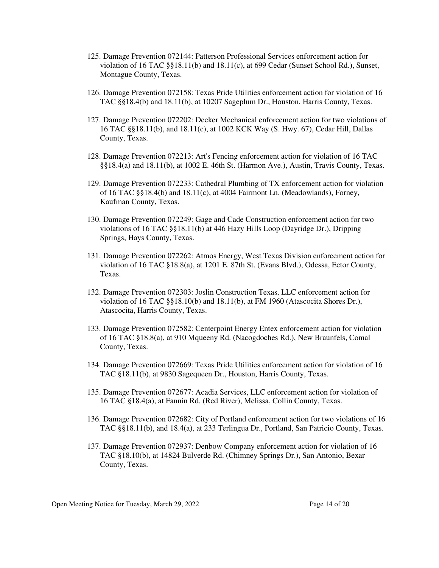- 125. Damage Prevention 072144: Patterson Professional Services enforcement action for violation of 16 TAC §§18.11(b) and 18.11(c), at 699 Cedar (Sunset School Rd.), Sunset, Montague County, Texas.
- 126. Damage Prevention 072158: Texas Pride Utilities enforcement action for violation of 16 TAC §§18.4(b) and 18.11(b), at 10207 Sageplum Dr., Houston, Harris County, Texas.
- 127. Damage Prevention 072202: Decker Mechanical enforcement action for two violations of 16 TAC §§18.11(b), and 18.11(c), at 1002 KCK Way (S. Hwy. 67), Cedar Hill, Dallas County, Texas.
- 128. Damage Prevention 072213: Art's Fencing enforcement action for violation of 16 TAC §§18.4(a) and 18.11(b), at 1002 E. 46th St. (Harmon Ave.), Austin, Travis County, Texas.
- 129. Damage Prevention 072233: Cathedral Plumbing of TX enforcement action for violation of 16 TAC  $\S$ §18.4(b) and 18.11(c), at 4004 Fairmont Ln. (Meadowlands), Forney, Kaufman County, Texas.
- 130. Damage Prevention 072249: Gage and Cade Construction enforcement action for two violations of 16 TAC §§18.11(b) at 446 Hazy Hills Loop (Dayridge Dr.), Dripping Springs, Hays County, Texas.
- 131. Damage Prevention 072262: Atmos Energy, West Texas Division enforcement action for violation of 16 TAC §18.8(a), at 1201 E. 87th St. (Evans Blvd.), Odessa, Ector County, Texas.
- 132. Damage Prevention 072303: Joslin Construction Texas, LLC enforcement action for violation of 16 TAC §§18.10(b) and 18.11(b), at FM 1960 (Atascocita Shores Dr.), Atascocita, Harris County, Texas.
- 133. Damage Prevention 072582: Centerpoint Energy Entex enforcement action for violation of 16 TAC §18.8(a), at 910 Mqueeny Rd. (Nacogdoches Rd.), New Braunfels, Comal County, Texas.
- 134. Damage Prevention 072669: Texas Pride Utilities enforcement action for violation of 16 TAC §18.11(b), at 9830 Sagequeen Dr., Houston, Harris County, Texas.
- 135. Damage Prevention 072677: Acadia Services, LLC enforcement action for violation of 16 TAC §18.4(a), at Fannin Rd. (Red River), Melissa, Collin County, Texas.
- 136. Damage Prevention 072682: City of Portland enforcement action for two violations of 16 TAC §§18.11(b), and 18.4(a), at 233 Terlingua Dr., Portland, San Patricio County, Texas.
- 137. Damage Prevention 072937: Denbow Company enforcement action for violation of 16 TAC §18.10(b), at 14824 Bulverde Rd. (Chimney Springs Dr.), San Antonio, Bexar County, Texas.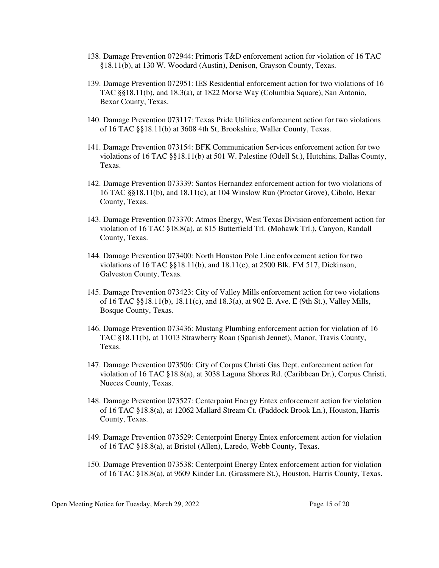- 138. Damage Prevention 072944: Primoris T&D enforcement action for violation of 16 TAC §18.11(b), at 130 W. Woodard (Austin), Denison, Grayson County, Texas.
- 139. Damage Prevention 072951: IES Residential enforcement action for two violations of 16 TAC §§18.11(b), and 18.3(a), at 1822 Morse Way (Columbia Square), San Antonio, Bexar County, Texas.
- 140. Damage Prevention 073117: Texas Pride Utilities enforcement action for two violations of 16 TAC §§18.11(b) at 3608 4th St, Brookshire, Waller County, Texas.
- 141. Damage Prevention 073154: BFK Communication Services enforcement action for two violations of 16 TAC §§18.11(b) at 501 W. Palestine (Odell St.), Hutchins, Dallas County, Texas.
- 142. Damage Prevention 073339: Santos Hernandez enforcement action for two violations of 16 TAC §§18.11(b), and 18.11(c), at 104 Winslow Run (Proctor Grove), Cibolo, Bexar County, Texas.
- 143. Damage Prevention 073370: Atmos Energy, West Texas Division enforcement action for violation of 16 TAC §18.8(a), at 815 Butterfield Trl. (Mohawk Trl.), Canyon, Randall County, Texas.
- 144. Damage Prevention 073400: North Houston Pole Line enforcement action for two violations of 16 TAC §§18.11(b), and 18.11(c), at 2500 Blk. FM 517, Dickinson, Galveston County, Texas.
- 145. Damage Prevention 073423: City of Valley Mills enforcement action for two violations of 16 TAC §§18.11(b), 18.11(c), and 18.3(a), at 902 E. Ave. E (9th St.), Valley Mills, Bosque County, Texas.
- 146. Damage Prevention 073436: Mustang Plumbing enforcement action for violation of 16 TAC §18.11(b), at 11013 Strawberry Roan (Spanish Jennet), Manor, Travis County, Texas.
- 147. Damage Prevention 073506: City of Corpus Christi Gas Dept. enforcement action for violation of 16 TAC §18.8(a), at 3038 Laguna Shores Rd. (Caribbean Dr.), Corpus Christi, Nueces County, Texas.
- 148. Damage Prevention 073527: Centerpoint Energy Entex enforcement action for violation of 16 TAC §18.8(a), at 12062 Mallard Stream Ct. (Paddock Brook Ln.), Houston, Harris County, Texas.
- 149. Damage Prevention 073529: Centerpoint Energy Entex enforcement action for violation of 16 TAC §18.8(a), at Bristol (Allen), Laredo, Webb County, Texas.
- 150. Damage Prevention 073538: Centerpoint Energy Entex enforcement action for violation of 16 TAC §18.8(a), at 9609 Kinder Ln. (Grassmere St.), Houston, Harris County, Texas.

Open Meeting Notice for Tuesday, March 29, 2022 Page 15 of 20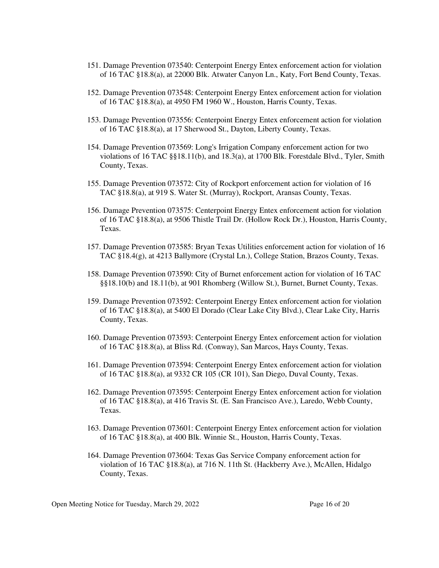- 151. Damage Prevention 073540: Centerpoint Energy Entex enforcement action for violation of 16 TAC §18.8(a), at 22000 Blk. Atwater Canyon Ln., Katy, Fort Bend County, Texas.
- 152. Damage Prevention 073548: Centerpoint Energy Entex enforcement action for violation of 16 TAC §18.8(a), at 4950 FM 1960 W., Houston, Harris County, Texas.
- 153. Damage Prevention 073556: Centerpoint Energy Entex enforcement action for violation of 16 TAC §18.8(a), at 17 Sherwood St., Dayton, Liberty County, Texas.
- 154. Damage Prevention 073569: Long's Irrigation Company enforcement action for two violations of 16 TAC §§18.11(b), and 18.3(a), at 1700 Blk. Forestdale Blvd., Tyler, Smith County, Texas.
- 155. Damage Prevention 073572: City of Rockport enforcement action for violation of 16 TAC §18.8(a), at 919 S. Water St. (Murray), Rockport, Aransas County, Texas.
- 156. Damage Prevention 073575: Centerpoint Energy Entex enforcement action for violation of 16 TAC §18.8(a), at 9506 Thistle Trail Dr. (Hollow Rock Dr.), Houston, Harris County, Texas.
- 157. Damage Prevention 073585: Bryan Texas Utilities enforcement action for violation of 16 TAC §18.4(g), at 4213 Ballymore (Crystal Ln.), College Station, Brazos County, Texas.
- 158. Damage Prevention 073590: City of Burnet enforcement action for violation of 16 TAC §§18.10(b) and 18.11(b), at 901 Rhomberg (Willow St.), Burnet, Burnet County, Texas.
- 159. Damage Prevention 073592: Centerpoint Energy Entex enforcement action for violation of 16 TAC §18.8(a), at 5400 El Dorado (Clear Lake City Blvd.), Clear Lake City, Harris County, Texas.
- 160. Damage Prevention 073593: Centerpoint Energy Entex enforcement action for violation of 16 TAC §18.8(a), at Bliss Rd. (Conway), San Marcos, Hays County, Texas.
- 161. Damage Prevention 073594: Centerpoint Energy Entex enforcement action for violation of 16 TAC §18.8(a), at 9332 CR 105 (CR 101), San Diego, Duval County, Texas.
- 162. Damage Prevention 073595: Centerpoint Energy Entex enforcement action for violation of 16 TAC §18.8(a), at 416 Travis St. (E. San Francisco Ave.), Laredo, Webb County, Texas.
- 163. Damage Prevention 073601: Centerpoint Energy Entex enforcement action for violation of 16 TAC §18.8(a), at 400 Blk. Winnie St., Houston, Harris County, Texas.
- 164. Damage Prevention 073604: Texas Gas Service Company enforcement action for violation of 16 TAC §18.8(a), at 716 N. 11th St. (Hackberry Ave.), McAllen, Hidalgo County, Texas.

Open Meeting Notice for Tuesday, March 29, 2022 Page 16 of 20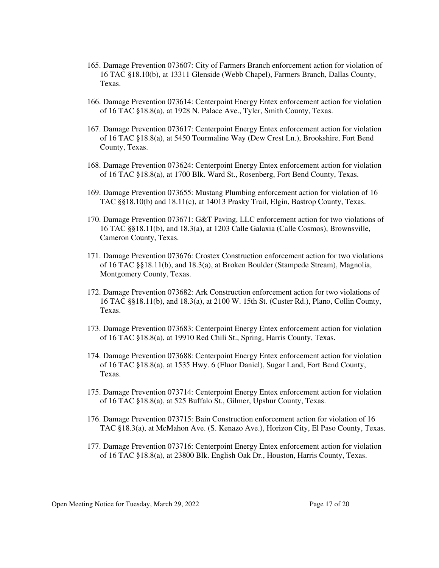- 165. Damage Prevention 073607: City of Farmers Branch enforcement action for violation of 16 TAC §18.10(b), at 13311 Glenside (Webb Chapel), Farmers Branch, Dallas County, Texas.
- 166. Damage Prevention 073614: Centerpoint Energy Entex enforcement action for violation of 16 TAC §18.8(a), at 1928 N. Palace Ave., Tyler, Smith County, Texas.
- 167. Damage Prevention 073617: Centerpoint Energy Entex enforcement action for violation of 16 TAC §18.8(a), at 5450 Tourmaline Way (Dew Crest Ln.), Brookshire, Fort Bend County, Texas.
- 168. Damage Prevention 073624: Centerpoint Energy Entex enforcement action for violation of 16 TAC §18.8(a), at 1700 Blk. Ward St., Rosenberg, Fort Bend County, Texas.
- 169. Damage Prevention 073655: Mustang Plumbing enforcement action for violation of 16 TAC §§18.10(b) and 18.11(c), at 14013 Prasky Trail, Elgin, Bastrop County, Texas.
- 170. Damage Prevention 073671: G&T Paving, LLC enforcement action for two violations of 16 TAC §§18.11(b), and 18.3(a), at 1203 Calle Galaxia (Calle Cosmos), Brownsville, Cameron County, Texas.
- 171. Damage Prevention 073676: Crostex Construction enforcement action for two violations of 16 TAC §§18.11(b), and 18.3(a), at Broken Boulder (Stampede Stream), Magnolia, Montgomery County, Texas.
- 172. Damage Prevention 073682: Ark Construction enforcement action for two violations of 16 TAC §§18.11(b), and 18.3(a), at 2100 W. 15th St. (Custer Rd.), Plano, Collin County, Texas.
- 173. Damage Prevention 073683: Centerpoint Energy Entex enforcement action for violation of 16 TAC §18.8(a), at 19910 Red Chili St., Spring, Harris County, Texas.
- 174. Damage Prevention 073688: Centerpoint Energy Entex enforcement action for violation of 16 TAC §18.8(a), at 1535 Hwy. 6 (Fluor Daniel), Sugar Land, Fort Bend County, Texas.
- 175. Damage Prevention 073714: Centerpoint Energy Entex enforcement action for violation of 16 TAC §18.8(a), at 525 Buffalo St., Gilmer, Upshur County, Texas.
- 176. Damage Prevention 073715: Bain Construction enforcement action for violation of 16 TAC §18.3(a), at McMahon Ave. (S. Kenazo Ave.), Horizon City, El Paso County, Texas.
- 177. Damage Prevention 073716: Centerpoint Energy Entex enforcement action for violation of 16 TAC §18.8(a), at 23800 Blk. English Oak Dr., Houston, Harris County, Texas.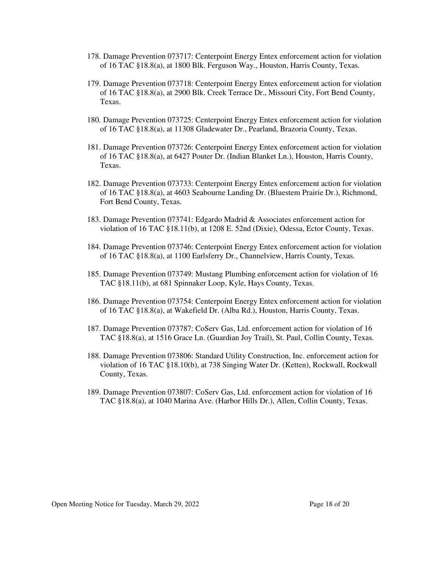- 178. Damage Prevention 073717: Centerpoint Energy Entex enforcement action for violation of 16 TAC §18.8(a), at 1800 Blk. Ferguson Way., Houston, Harris County, Texas.
- 179. Damage Prevention 073718: Centerpoint Energy Entex enforcement action for violation of 16 TAC §18.8(a), at 2900 Blk. Creek Terrace Dr., Missouri City, Fort Bend County, Texas.
- 180. Damage Prevention 073725: Centerpoint Energy Entex enforcement action for violation of 16 TAC §18.8(a), at 11308 Gladewater Dr., Pearland, Brazoria County, Texas.
- 181. Damage Prevention 073726: Centerpoint Energy Entex enforcement action for violation of 16 TAC §18.8(a), at 6427 Pouter Dr. (Indian Blanket Ln.), Houston, Harris County, Texas.
- 182. Damage Prevention 073733: Centerpoint Energy Entex enforcement action for violation of 16 TAC §18.8(a), at 4603 Seabourne Landing Dr. (Bluestem Prairie Dr.), Richmond, Fort Bend County, Texas.
- 183. Damage Prevention 073741: Edgardo Madrid & Associates enforcement action for violation of 16 TAC §18.11(b), at 1208 E. 52nd (Dixie), Odessa, Ector County, Texas.
- 184. Damage Prevention 073746: Centerpoint Energy Entex enforcement action for violation of 16 TAC §18.8(a), at 1100 Earlsferry Dr., Channelview, Harris County, Texas.
- 185. Damage Prevention 073749: Mustang Plumbing enforcement action for violation of 16 TAC §18.11(b), at 681 Spinnaker Loop, Kyle, Hays County, Texas.
- 186. Damage Prevention 073754: Centerpoint Energy Entex enforcement action for violation of 16 TAC §18.8(a), at Wakefield Dr. (Alba Rd.), Houston, Harris County, Texas.
- 187. Damage Prevention 073787: CoServ Gas, Ltd. enforcement action for violation of 16 TAC §18.8(a), at 1516 Grace Ln. (Guardian Joy Trail), St. Paul, Collin County, Texas.
- 188. Damage Prevention 073806: Standard Utility Construction, Inc. enforcement action for violation of 16 TAC §18.10(b), at 738 Singing Water Dr. (Ketten), Rockwall, Rockwall County, Texas.
- 189. Damage Prevention 073807: CoServ Gas, Ltd. enforcement action for violation of 16 TAC §18.8(a), at 1040 Marina Ave. (Harbor Hills Dr.), Allen, Collin County, Texas.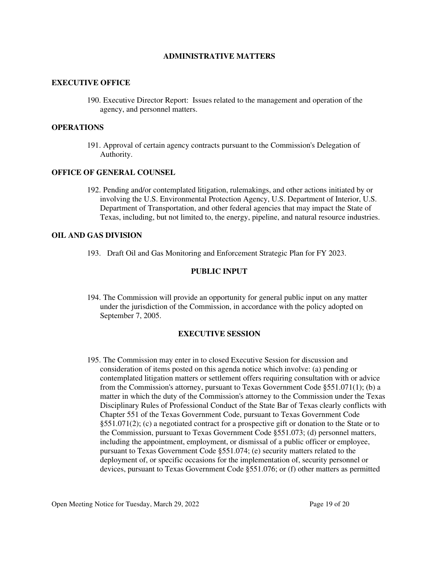### **ADMINISTRATIVE MATTERS**

### **EXECUTIVE OFFICE**

190. Executive Director Report: Issues related to the management and operation of the agency, and personnel matters.

### **OPERATIONS**

191. Approval of certain agency contracts pursuant to the Commission's Delegation of Authority.

#### **OFFICE OF GENERAL COUNSEL**

192. Pending and/or contemplated litigation, rulemakings, and other actions initiated by or involving the U.S. Environmental Protection Agency, U.S. Department of Interior, U.S. Department of Transportation, and other federal agencies that may impact the State of Texas, including, but not limited to, the energy, pipeline, and natural resource industries.

### **OIL AND GAS DIVISION**

193. Draft Oil and Gas Monitoring and Enforcement Strategic Plan for FY 2023.

#### **PUBLIC INPUT**

194. The Commission will provide an opportunity for general public input on any matter under the jurisdiction of the Commission, in accordance with the policy adopted on September 7, 2005.

#### **EXECUTIVE SESSION**

195. The Commission may enter in to closed Executive Session for discussion and consideration of items posted on this agenda notice which involve: (a) pending or contemplated litigation matters or settlement offers requiring consultation with or advice from the Commission's attorney, pursuant to Texas Government Code §551.071(1); (b) a matter in which the duty of the Commission's attorney to the Commission under the Texas Disciplinary Rules of Professional Conduct of the State Bar of Texas clearly conflicts with Chapter 551 of the Texas Government Code, pursuant to Texas Government Code §551.071(2); (c) a negotiated contract for a prospective gift or donation to the State or to the Commission, pursuant to Texas Government Code §551.073; (d) personnel matters, including the appointment, employment, or dismissal of a public officer or employee, pursuant to Texas Government Code §551.074; (e) security matters related to the deployment of, or specific occasions for the implementation of, security personnel or devices, pursuant to Texas Government Code §551.076; or (f) other matters as permitted

Open Meeting Notice for Tuesday, March 29, 2022 Page 19 of 20